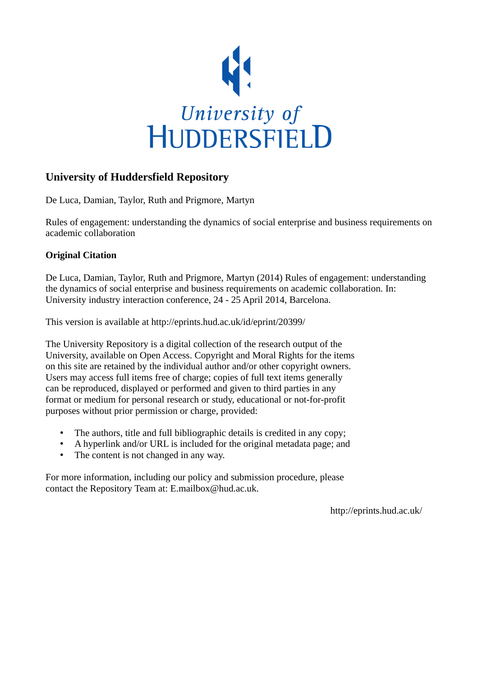

## **University of Huddersfield Repository**

De Luca, Damian, Taylor, Ruth and Prigmore, Martyn

Rules of engagement: understanding the dynamics of social enterprise and business requirements on academic collaboration

### **Original Citation**

De Luca, Damian, Taylor, Ruth and Prigmore, Martyn (2014) Rules of engagement: understanding the dynamics of social enterprise and business requirements on academic collaboration. In: University industry interaction conference, 24 - 25 April 2014, Barcelona.

This version is available at http://eprints.hud.ac.uk/id/eprint/20399/

The University Repository is a digital collection of the research output of the University, available on Open Access. Copyright and Moral Rights for the items on this site are retained by the individual author and/or other copyright owners. Users may access full items free of charge; copies of full text items generally can be reproduced, displayed or performed and given to third parties in any format or medium for personal research or study, educational or not-for-profit purposes without prior permission or charge, provided:

- The authors, title and full bibliographic details is credited in any copy;
- A hyperlink and/or URL is included for the original metadata page; and
- The content is not changed in any way.

For more information, including our policy and submission procedure, please contact the Repository Team at: E.mailbox@hud.ac.uk.

http://eprints.hud.ac.uk/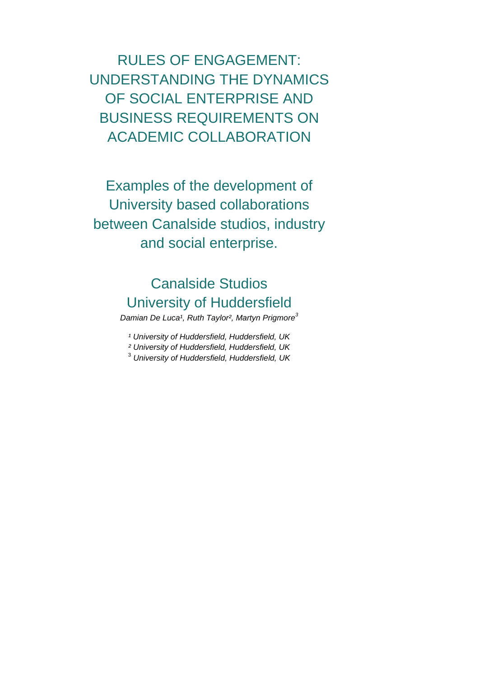RULES OF ENGAGEMENT: UNDERSTANDING THE DYNAMICS OF SOCIAL ENTERPRISE AND BUSINESS REQUIREMENTS ON ACADEMIC COLLABORATION

Examples of the development of University based collaborations between Canalside studios, industry and social enterprise.

# Canalside Studios University of Huddersfield

*Damian De Luca¹, Ruth Taylor², Martyn Prigmore<sup>3</sup>*

*¹ University of Huddersfield, Huddersfield, UK*

*² University of Huddersfield, Huddersfield, UK*

<sup>3</sup> *University of Huddersfield, Huddersfield, UK*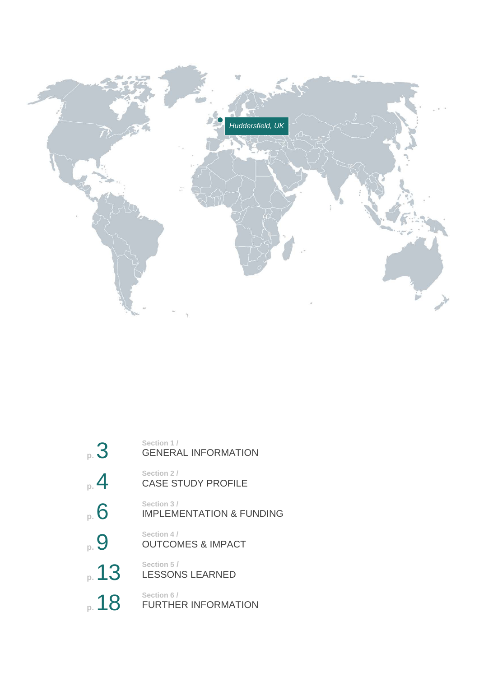

| p.3                     | Section 1/<br><b>GENERAL INFORMATION</b>          |
|-------------------------|---------------------------------------------------|
| $\overline{\mathbf{4}}$ | Section 2/<br><b>CASE STUDY PROFILE</b>           |
| $\overline{6}$          | Section 3/<br><b>IMPLEMENTATION &amp; FUNDING</b> |
| 9                       | Section 4/<br><b>OUTCOMES &amp; IMPACT</b>        |
| 13                      | Section 5/<br><b>LESSONS LEARNED</b>              |
| 18                      | Section 6/<br><b>FURTHER INFORMATION</b>          |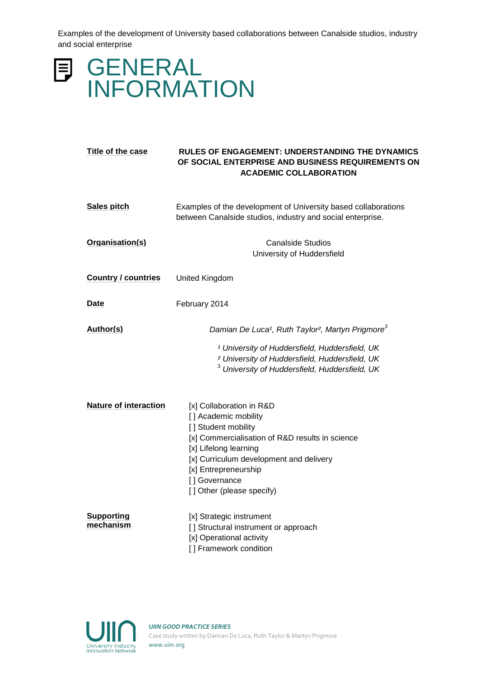

| Title of the case              | <b>RULES OF ENGAGEMENT: UNDERSTANDING THE DYNAMICS</b><br>OF SOCIAL ENTERPRISE AND BUSINESS REQUIREMENTS ON<br><b>ACADEMIC COLLABORATION</b>                                                                                                                                 |
|--------------------------------|------------------------------------------------------------------------------------------------------------------------------------------------------------------------------------------------------------------------------------------------------------------------------|
| Sales pitch                    | Examples of the development of University based collaborations<br>between Canalside studios, industry and social enterprise.                                                                                                                                                 |
| Organisation(s)                | <b>Canalside Studios</b><br>University of Huddersfield                                                                                                                                                                                                                       |
| <b>Country / countries</b>     | United Kingdom                                                                                                                                                                                                                                                               |
| Date                           | February 2014                                                                                                                                                                                                                                                                |
| Author(s)                      | Damian De Luca <sup>1</sup> , Ruth Taylor <sup>2</sup> , Martyn Prigmore <sup>3</sup><br><sup>1</sup> University of Huddersfield, Huddersfield, UK<br><sup>2</sup> University of Huddersfield, Huddersfield, UK<br><sup>3</sup> University of Huddersfield, Huddersfield, UK |
| <b>Nature of interaction</b>   | [x] Collaboration in R&D<br>[] Academic mobility<br>[] Student mobility<br>[x] Commercialisation of R&D results in science<br>[x] Lifelong learning<br>[x] Curriculum development and delivery<br>[x] Entrepreneurship<br>[] Governance<br>[] Other (please specify)         |
| <b>Supporting</b><br>mechanism | [x] Strategic instrument<br>[] Structural instrument or approach<br>[x] Operational activity<br>[] Framework condition                                                                                                                                                       |



*UIIN GOOD PRACTICE SERIES* Case study written by Damian De Luca, Ruth Taylor & Martyn Prigmore www.uiin.org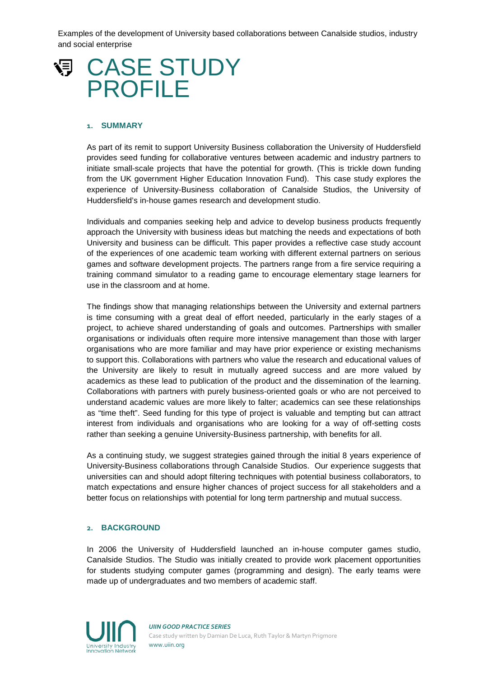

#### **1. SUMMARY**

As part of its remit to support University Business collaboration the University of Huddersfield provides seed funding for collaborative ventures between academic and industry partners to initiate small-scale projects that have the potential for growth. (This is trickle down funding from the UK government Higher Education Innovation Fund). This case study explores the experience of University-Business collaboration of Canalside Studios, the University of Huddersfield's in-house games research and development studio.

Individuals and companies seeking help and advice to develop business products frequently approach the University with business ideas but matching the needs and expectations of both University and business can be difficult. This paper provides a reflective case study account of the experiences of one academic team working with different external partners on serious games and software development projects. The partners range from a fire service requiring a training command simulator to a reading game to encourage elementary stage learners for use in the classroom and at home.

The findings show that managing relationships between the University and external partners is time consuming with a great deal of effort needed, particularly in the early stages of a project, to achieve shared understanding of goals and outcomes. Partnerships with smaller organisations or individuals often require more intensive management than those with larger organisations who are more familiar and may have prior experience or existing mechanisms to support this. Collaborations with partners who value the research and educational values of the University are likely to result in mutually agreed success and are more valued by academics as these lead to publication of the product and the dissemination of the learning. Collaborations with partners with purely business-oriented goals or who are not perceived to understand academic values are more likely to falter; academics can see these relationships as "time theft". Seed funding for this type of project is valuable and tempting but can attract interest from individuals and organisations who are looking for a way of off-setting costs rather than seeking a genuine University-Business partnership, with benefits for all.

As a continuing study, we suggest strategies gained through the initial 8 years experience of University-Business collaborations through Canalside Studios. Our experience suggests that universities can and should adopt filtering techniques with potential business collaborators, to match expectations and ensure higher chances of project success for all stakeholders and a better focus on relationships with potential for long term partnership and mutual success.

#### **2. BACKGROUND**

In 2006 the University of Huddersfield launched an in-house computer games studio, Canalside Studios. The Studio was initially created to provide work placement opportunities for students studying computer games (programming and design). The early teams were made up of undergraduates and two members of academic staff.

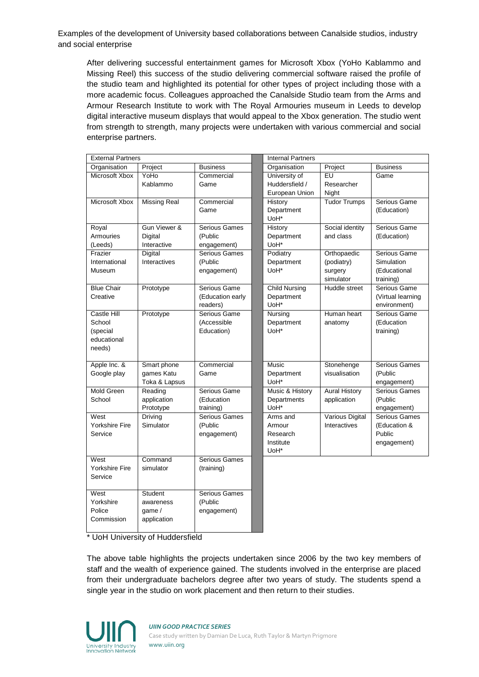After delivering successful entertainment games for Microsoft Xbox (YoHo Kablammo and Missing Reel) this success of the studio delivering commercial software raised the profile of the studio team and highlighted its potential for other types of project including those with a more academic focus. Colleagues approached the Canalside Studio team from the Arms and Armour Research Institute to work with The Royal Armouries museum in Leeds to develop digital interactive museum displays that would appeal to the Xbox generation. The studio went from strength to strength, many projects were undertaken with various commercial and social enterprise partners.

| <b>External Partners</b> |                      | <b>Internal Partners</b>          |                      |                      |                                     |
|--------------------------|----------------------|-----------------------------------|----------------------|----------------------|-------------------------------------|
| Organisation             | Project              | <b>Business</b>                   | Organisation         | Project              | <b>Business</b>                     |
| Microsoft Xbox           | YoHo                 | Commercial                        | University of        | EU                   | Game                                |
|                          | Kablammo             | Game                              | Huddersfield /       | Researcher           |                                     |
|                          |                      |                                   | European Union       | Night                |                                     |
| Microsoft Xbox           | <b>Missing Real</b>  | Commercial                        | History              | <b>Tudor Trumps</b>  | Serious Game                        |
|                          |                      | Game                              | Department           |                      | (Education)                         |
|                          |                      |                                   | UoH*                 |                      |                                     |
| Royal                    | Gun Viewer &         | Serious Games                     | History              | Social identity      | Serious Game                        |
| Armouries                | Digital              | (Public                           | Department           | and class            | (Education)                         |
| (Leeds)                  | Interactive          | engagement)                       | UoH*                 |                      |                                     |
| Frazier                  | Digital              | Serious Games                     | Podiatry             | Orthopaedic          | Serious Game                        |
| International            | Interactives         | (Public                           | Department           | (podiatry)           | Simulation                          |
| Museum                   |                      | engagement)                       | UoH*                 | surgery              | (Educational                        |
|                          |                      |                                   |                      | simulator            | training)                           |
| <b>Blue Chair</b>        | Prototype            | Serious Game                      | <b>Child Nursing</b> | Huddle street        | Serious Game                        |
| Creative                 |                      | (Education early                  | Department           |                      | (Virtual learning                   |
|                          |                      | readers)                          | UoH <sup>*</sup>     |                      | environment)                        |
| Castle Hill              | Prototype            | Serious Game                      | Nursing              | Human heart          | Serious Game                        |
| School                   |                      | (Accessible                       | Department           | anatomy              | (Education                          |
| (special                 |                      | Education)                        | UoH*                 |                      | training)                           |
| educational              |                      |                                   |                      |                      |                                     |
| needs)                   |                      |                                   |                      |                      |                                     |
|                          |                      |                                   |                      |                      | <b>Serious Games</b>                |
| Apple Inc. &             | Smart phone          | Commercial                        | Music                | Stonehenge           |                                     |
| Google play              | games Katu           | Game                              | Department           | visualisation        | (Public                             |
|                          | Toka & Lapsus        |                                   | UoH*                 |                      | engagement)                         |
| <b>Mold Green</b>        | Reading              | Serious Game                      | Music & History      | <b>Aural History</b> | <b>Serious Games</b>                |
| School                   | application          | (Education                        | Departments<br>UoH*  | application          | (Public                             |
| West                     | Prototype<br>Driving | training)<br><b>Serious Games</b> | Arms and             | Various Digital      | engagement)<br><b>Serious Games</b> |
| Yorkshire Fire           | Simulator            | (Public                           | Armour               | Interactives         | (Education &                        |
| Service                  |                      |                                   | Research             |                      | Public                              |
|                          |                      | engagement)                       | Institute            |                      |                                     |
|                          |                      |                                   | UoH*                 |                      | engagement)                         |
| West                     | Command              | <b>Serious Games</b>              |                      |                      |                                     |
| Yorkshire Fire           | simulator            | (training)                        |                      |                      |                                     |
| Service                  |                      |                                   |                      |                      |                                     |
|                          |                      |                                   |                      |                      |                                     |
| West                     | Student              | <b>Serious Games</b>              |                      |                      |                                     |
| Yorkshire                | awareness            | (Public                           |                      |                      |                                     |
| Police                   | qame/                | engagement)                       |                      |                      |                                     |
| Commission               | application          |                                   |                      |                      |                                     |
|                          |                      |                                   |                      |                      |                                     |

\* UoH University of Huddersfield

The above table highlights the projects undertaken since 2006 by the two key members of staff and the wealth of experience gained. The students involved in the enterprise are placed from their undergraduate bachelors degree after two years of study. The students spend a single year in the studio on work placement and then return to their studies.

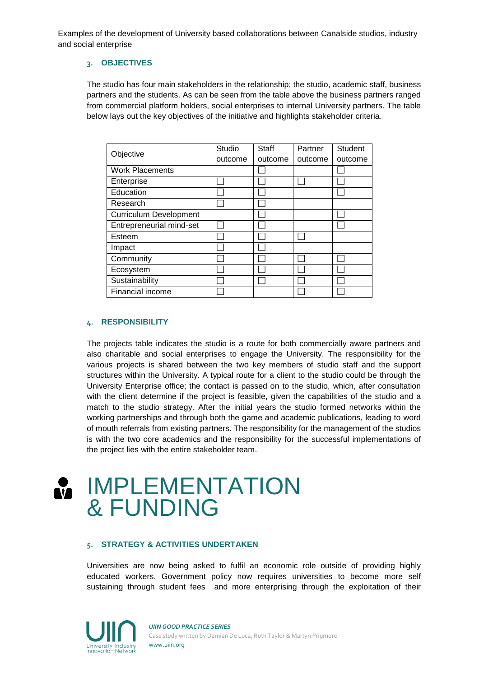#### **3. OBJECTIVES**

The studio has four main stakeholders in the relationship; the studio, academic staff, business partners and the students. As can be seen from the table above the business partners ranged from commercial platform holders, social enterprises to internal University partners. The table below lays out the key objectives of the initiative and highlights stakeholder criteria.

| Objective                     | Studio  | <b>Staff</b> | Partner | <b>Student</b> |
|-------------------------------|---------|--------------|---------|----------------|
|                               | outcome | outcome      | outcome | outcome        |
| <b>Work Placements</b>        |         |              |         |                |
| Enterprise                    |         |              |         |                |
| Education                     |         |              |         |                |
| Research                      |         |              |         |                |
| <b>Curriculum Development</b> |         |              |         |                |
| Entrepreneurial mind-set      |         |              |         |                |
| Esteem                        |         |              |         |                |
| Impact                        |         |              |         |                |
| Community                     |         |              |         |                |
| Ecosystem                     |         |              |         |                |
| Sustainability                |         |              |         |                |
| Financial income              |         |              |         |                |

#### **4. RESPONSIBILITY**

The projects table indicates the studio is a route for both commercially aware partners and also charitable and social enterprises to engage the University. The responsibility for the various projects is shared between the two key members of studio staff and the support structures within the University. A typical route for a client to the studio could be through the University Enterprise office; the contact is passed on to the studio, which, after consultation with the client determine if the project is feasible, given the capabilities of the studio and a match to the studio strategy. After the initial years the studio formed networks within the working partnerships and through both the game and academic publications, leading to word of mouth referrals from existing partners. The responsibility for the management of the studios is with the two core academics and the responsibility for the successful implementations of the project lies with the entire stakeholder team.

# IMPLEMENTATION **M** & FUNDING

#### **5. STRATEGY & ACTIVITIES UNDERTAKEN**

Universities are now being asked to fulfil an economic role outside of providing highly educated workers. Government policy now requires universities to become more self sustaining through student fees and more enterprising through the exploitation of their

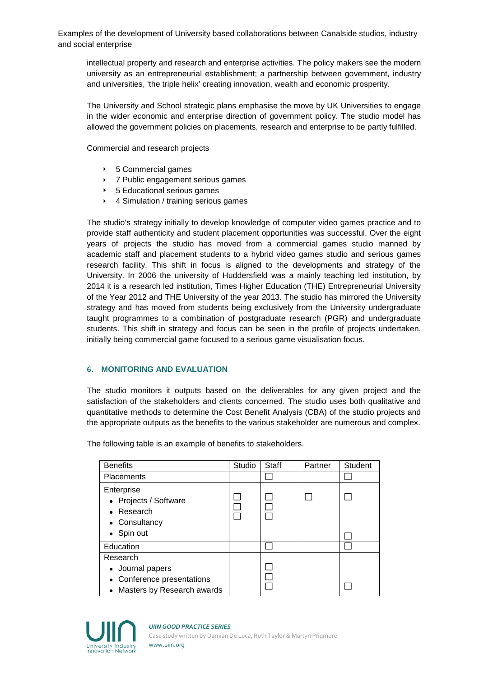intellectual property and research and enterprise activities. The policy makers see the modern university as an entrepreneurial establishment; a partnership between government, industry and universities, 'the triple helix' creating innovation, wealth and economic prosperity.

The University and School strategic plans emphasise the move by UK Universities to engage in the wider economic and enterprise direction of government policy. The studio model has allowed the government policies on placements, research and enterprise to be partly fulfilled.

Commercial and research projects

- ▶ 5 Commercial games
- ▶ 7 Public engagement serious games
- ▶ 5 Educational serious games
- 4 Simulation / training serious games

The studio's strategy initially to develop knowledge of computer video games practice and to provide staff authenticity and student placement opportunities was successful. Over the eight years of projects the studio has moved from a commercial games studio manned by academic staff and placement students to a hybrid video games studio and serious games research facility. This shift in focus is aligned to the developments and strategy of the University. In 2006 the university of Huddersfield was a mainly teaching led institution, by 2014 it is a research led institution, Times Higher Education (THE) Entrepreneurial University of the Year 2012 and THE University of the year 2013. The studio has mirrored the University strategy and has moved from students being exclusively from the University undergraduate taught programmes to a combination of postgraduate research (PGR) and undergraduate students. This shift in strategy and focus can be seen in the profile of projects undertaken, initially being commercial game focused to a serious game visualisation focus.

#### **6. MONITORING AND EVALUATION**

The studio monitors it outputs based on the deliverables for any given project and the satisfaction of the stakeholders and clients concerned. The studio uses both qualitative and quantitative methods to determine the Cost Benefit Analysis (CBA) of the studio projects and the appropriate outputs as the benefits to the various stakeholder are numerous and complex.

The following table is an example of benefits to stakeholders.

| <b>Benefits</b>                                                                            | Studio | Staff | Partner | Student |
|--------------------------------------------------------------------------------------------|--------|-------|---------|---------|
| Placements                                                                                 |        |       |         |         |
| Enterprise<br>• Projects / Software<br>Research<br>• Consultancy<br>• Spin out             |        |       |         |         |
| Education                                                                                  |        |       |         |         |
| Research<br>• Journal papers<br>• Conference presentations<br>• Masters by Research awards |        |       |         |         |



#### *UIIN GOOD PRACTICE SERIES*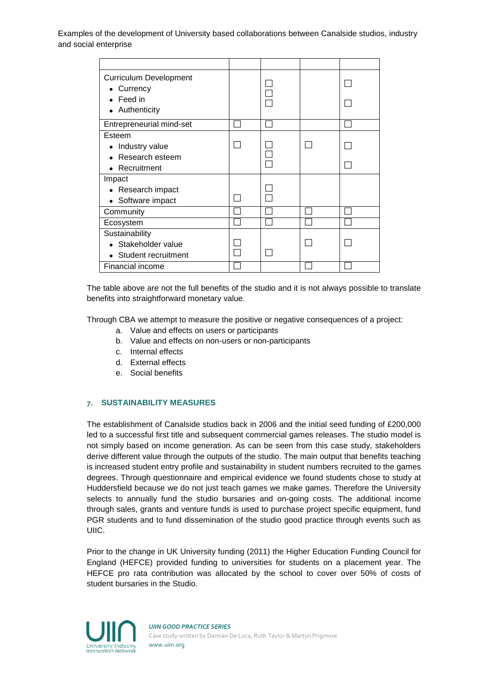| <b>Curriculum Development</b><br>• Currency<br>Feed in<br>• Authenticity |  |  |
|--------------------------------------------------------------------------|--|--|
| Entrepreneurial mind-set                                                 |  |  |
| Esteem<br>Industry value<br>Research esteem<br>Recruitment               |  |  |
| Impact<br>• Research impact<br>• Software impact                         |  |  |
| Community                                                                |  |  |
| Ecosystem                                                                |  |  |
| Sustainability<br>• Stakeholder value<br>Student recruitment             |  |  |
| Financial income                                                         |  |  |

The table above are not the full benefits of the studio and it is not always possible to translate benefits into straightforward monetary value.

Through CBA we attempt to measure the positive or negative consequences of a project:

- a. Value and effects on users or participants
- b. Value and effects on non-users or non-participants
- c. Internal effects
- d. External effects
- e. Social benefits

#### **7. SUSTAINABILITY MEASURES**

The establishment of Canalside studios back in 2006 and the initial seed funding of £200,000 led to a successful first title and subsequent commercial games releases. The studio model is not simply based on income generation. As can be seen from this case study, stakeholders derive different value through the outputs of the studio. The main output that benefits teaching is increased student entry profile and sustainability in student numbers recruited to the games degrees. Through questionnaire and empirical evidence we found students chose to study at Huddersfield because we do not just teach games we make games. Therefore the University selects to annually fund the studio bursaries and on-going costs. The additional income through sales, grants and venture funds is used to purchase project specific equipment, fund PGR students and to fund dissemination of the studio good practice through events such as UIIC.

Prior to the change in UK University funding (2011) the Higher Education Funding Council for England (HEFCE) provided funding to universities for students on a placement year. The HEFCE pro rata contribution was allocated by the school to cover over 50% of costs of student bursaries in the Studio.

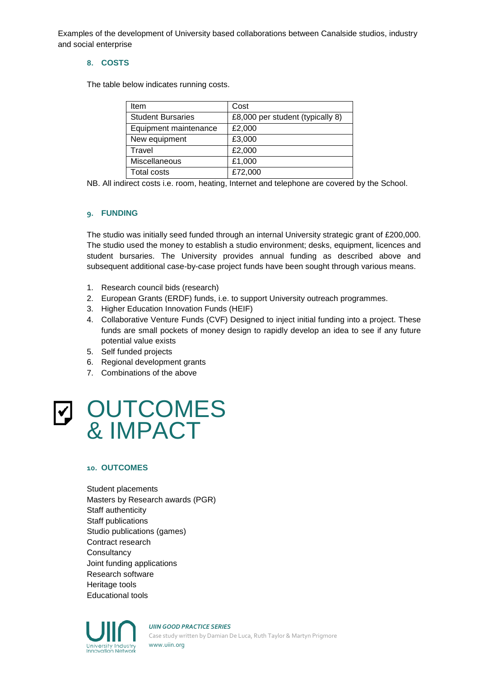#### **8. COSTS**

The table below indicates running costs.

| Item                     | Cost                             |
|--------------------------|----------------------------------|
| <b>Student Bursaries</b> | £8,000 per student (typically 8) |
| Equipment maintenance    | £2,000                           |
| New equipment            | £3,000                           |
| Travel                   | £2,000                           |
| Miscellaneous            | £1,000                           |
| Total costs              | £72,000                          |

NB. All indirect costs i.e. room, heating, Internet and telephone are covered by the School.

#### **9. FUNDING**

The studio was initially seed funded through an internal University strategic grant of £200,000. The studio used the money to establish a studio environment; desks, equipment, licences and student bursaries. The University provides annual funding as described above and subsequent additional case-by-case project funds have been sought through various means.

- 1. Research council bids (research)
- 2. European Grants (ERDF) funds, i.e. to support University outreach programmes.
- 3. Higher Education Innovation Funds (HEIF)
- 4. Collaborative Venture Funds (CVF) Designed to inject initial funding into a project. These funds are small pockets of money design to rapidly develop an idea to see if any future potential value exists
- 5. Self funded projects
- 6. Regional development grants
- 7. Combinations of the above

# **OUTCOMES** & IMPACT

#### **10. OUTCOMES**

Student placements Masters by Research awards (PGR) Staff authenticity Staff publications Studio publications (games) Contract research **Consultancy** Joint funding applications Research software Heritage tools Educational tools



## *UIIN GOOD PRACTICE SERIES*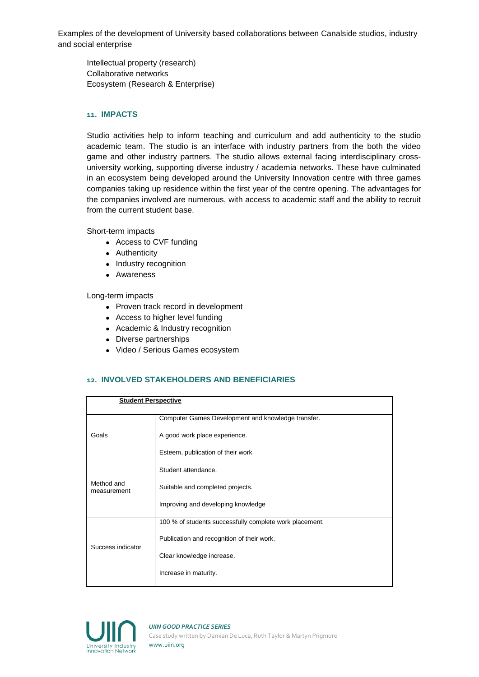Intellectual property (research) Collaborative networks Ecosystem (Research & Enterprise)

#### **11. IMPACTS**

Studio activities help to inform teaching and curriculum and add authenticity to the studio academic team. The studio is an interface with industry partners from the both the video game and other industry partners. The studio allows external facing interdisciplinary crossuniversity working, supporting diverse industry / academia networks. These have culminated in an ecosystem being developed around the University Innovation centre with three games companies taking up residence within the first year of the centre opening. The advantages for the companies involved are numerous, with access to academic staff and the ability to recruit from the current student base.

Short-term impacts

- Access to CVF funding
- Authenticity
- Industry recognition
- Awareness

Long-term impacts

- Proven track record in development
- Access to higher level funding
- Academic & Industry recognition
- Diverse partnerships
- Video / Serious Games ecosystem

#### **12. INVOLVED STAKEHOLDERS AND BENEFICIARIES**

| <b>Student Perspective</b> |                                                         |
|----------------------------|---------------------------------------------------------|
|                            | Computer Games Development and knowledge transfer.      |
| Goals                      | A good work place experience.                           |
|                            | Esteem, publication of their work                       |
|                            | Student attendance.                                     |
| Method and<br>measurement  | Suitable and completed projects.                        |
|                            | Improving and developing knowledge                      |
|                            | 100 % of students successfully complete work placement. |
| Success indicator          | Publication and recognition of their work.              |
|                            | Clear knowledge increase.                               |
|                            | Increase in maturity.                                   |



## *UIIN GOOD PRACTICE SERIES*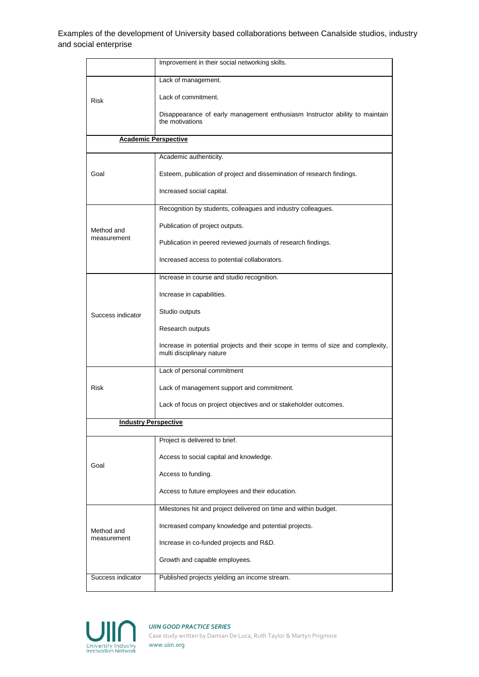|                             | Improvement in their social networking skills.                                                               |
|-----------------------------|--------------------------------------------------------------------------------------------------------------|
|                             | Lack of management.                                                                                          |
| <b>Risk</b>                 | Lack of commitment.                                                                                          |
|                             | Disappearance of early management enthusiasm Instructor ability to maintain<br>the motivations               |
| <b>Academic Perspective</b> |                                                                                                              |
|                             | Academic authenticity.                                                                                       |
| Goal                        | Esteem, publication of project and dissemination of research findings.                                       |
|                             | Increased social capital.                                                                                    |
|                             | Recognition by students, colleagues and industry colleagues.                                                 |
| Method and                  | Publication of project outputs.                                                                              |
| measurement                 | Publication in peered reviewed journals of research findings.                                                |
|                             | Increased access to potential collaborators.                                                                 |
|                             | Increase in course and studio recognition.                                                                   |
|                             | Increase in capabilities.                                                                                    |
| Success indicator           | Studio outputs                                                                                               |
|                             | Research outputs                                                                                             |
|                             | Increase in potential projects and their scope in terms of size and complexity,<br>multi disciplinary nature |
|                             | Lack of personal commitment                                                                                  |
| <b>Risk</b>                 | Lack of management support and commitment.                                                                   |
|                             | Lack of focus on project objectives and or stakeholder outcomes.                                             |
| <b>Industry Perspective</b> |                                                                                                              |
|                             | Project is delivered to brief.                                                                               |
|                             | Access to social capital and knowledge.                                                                      |
| Goal                        | Access to funding.                                                                                           |
|                             | Access to future employees and their education.                                                              |
|                             | Milestones hit and project delivered on time and within budget.                                              |
| Method and                  | Increased company knowledge and potential projects.                                                          |
| measurement                 | Increase in co-funded projects and R&D.                                                                      |
|                             | Growth and capable employees.                                                                                |
| Success indicator           | Published projects yielding an income stream.                                                                |



#### *UIIN GOOD PRACTICE SERIES*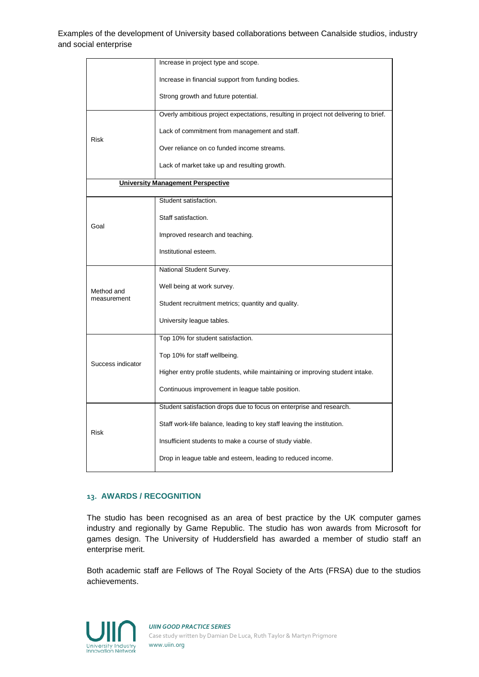|                   | Increase in project type and scope.                                                  |
|-------------------|--------------------------------------------------------------------------------------|
|                   | Increase in financial support from funding bodies.                                   |
|                   | Strong growth and future potential.                                                  |
|                   | Overly ambitious project expectations, resulting in project not delivering to brief. |
| <b>Risk</b>       | Lack of commitment from management and staff.                                        |
|                   | Over reliance on co funded income streams.                                           |
|                   | Lack of market take up and resulting growth.                                         |
|                   | <b>University Management Perspective</b>                                             |
|                   | Student satisfaction.                                                                |
| Goal              | Staff satisfaction.                                                                  |
|                   | Improved research and teaching.                                                      |
|                   | Institutional esteem.                                                                |
|                   | National Student Survey.                                                             |
| Method and        | Well being at work survey.                                                           |
| measurement       | Student recruitment metrics; quantity and quality.                                   |
|                   | University league tables.                                                            |
|                   | Top 10% for student satisfaction.                                                    |
| Success indicator | Top 10% for staff wellbeing.                                                         |
|                   | Higher entry profile students, while maintaining or improving student intake.        |
|                   | Continuous improvement in league table position.                                     |
| <b>Risk</b>       | Student satisfaction drops due to focus on enterprise and research.                  |
|                   | Staff work-life balance, leading to key staff leaving the institution.               |
|                   | Insufficient students to make a course of study viable.                              |
|                   | Drop in league table and esteem, leading to reduced income.                          |

#### **13. AWARDS / RECOGNITION**

The studio has been recognised as an area of best practice by the UK computer games industry and regionally by Game Republic. The studio has won awards from Microsoft for games design. The University of Huddersfield has awarded a member of studio staff an enterprise merit.

Both academic staff are Fellows of The Royal Society of the Arts (FRSA) due to the studios achievements.

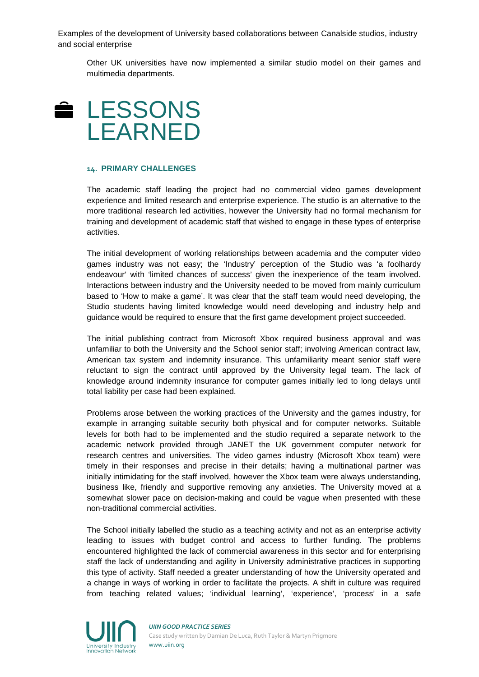Other UK universities have now implemented a similar studio model on their games and multimedia departments.



#### **14. PRIMARY CHALLENGES**

The academic staff leading the project had no commercial video games development experience and limited research and enterprise experience. The studio is an alternative to the more traditional research led activities, however the University had no formal mechanism for training and development of academic staff that wished to engage in these types of enterprise activities.

The initial development of working relationships between academia and the computer video games industry was not easy; the 'Industry' perception of the Studio was 'a foolhardy endeavour' with 'limited chances of success' given the inexperience of the team involved. Interactions between industry and the University needed to be moved from mainly curriculum based to 'How to make a game'. It was clear that the staff team would need developing, the Studio students having limited knowledge would need developing and industry help and guidance would be required to ensure that the first game development project succeeded.

The initial publishing contract from Microsoft Xbox required business approval and was unfamiliar to both the University and the School senior staff; involving American contract law, American tax system and indemnity insurance. This unfamiliarity meant senior staff were reluctant to sign the contract until approved by the University legal team. The lack of knowledge around indemnity insurance for computer games initially led to long delays until total liability per case had been explained.

Problems arose between the working practices of the University and the games industry, for example in arranging suitable security both physical and for computer networks. Suitable levels for both had to be implemented and the studio required a separate network to the academic network provided through JANET the UK government computer network for research centres and universities. The video games industry (Microsoft Xbox team) were timely in their responses and precise in their details; having a multinational partner was initially intimidating for the staff involved, however the Xbox team were always understanding, business like, friendly and supportive removing any anxieties. The University moved at a somewhat slower pace on decision-making and could be vague when presented with these non-traditional commercial activities.

The School initially labelled the studio as a teaching activity and not as an enterprise activity leading to issues with budget control and access to further funding. The problems encountered highlighted the lack of commercial awareness in this sector and for enterprising staff the lack of understanding and agility in University administrative practices in supporting this type of activity. Staff needed a greater understanding of how the University operated and a change in ways of working in order to facilitate the projects. A shift in culture was required from teaching related values; 'individual learning', 'experience', 'process' in a safe

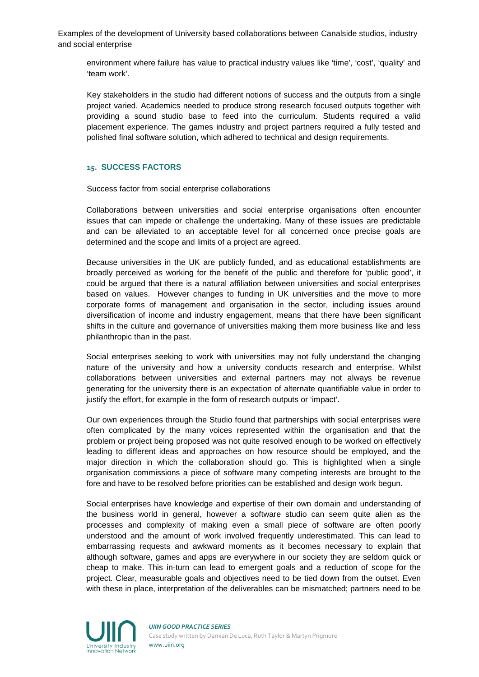environment where failure has value to practical industry values like 'time', 'cost', 'quality' and 'team work'.

Key stakeholders in the studio had different notions of success and the outputs from a single project varied. Academics needed to produce strong research focused outputs together with providing a sound studio base to feed into the curriculum. Students required a valid placement experience. The games industry and project partners required a fully tested and polished final software solution, which adhered to technical and design requirements.

#### **15. SUCCESS FACTORS**

Success factor from social enterprise collaborations

Collaborations between universities and social enterprise organisations often encounter issues that can impede or challenge the undertaking. Many of these issues are predictable and can be alleviated to an acceptable level for all concerned once precise goals are determined and the scope and limits of a project are agreed.

Because universities in the UK are publicly funded, and as educational establishments are broadly perceived as working for the benefit of the public and therefore for 'public good', it could be argued that there is a natural affiliation between universities and social enterprises based on values. However changes to funding in UK universities and the move to more corporate forms of management and organisation in the sector, including issues around diversification of income and industry engagement, means that there have been significant shifts in the culture and governance of universities making them more business like and less philanthropic than in the past.

Social enterprises seeking to work with universities may not fully understand the changing nature of the university and how a university conducts research and enterprise. Whilst collaborations between universities and external partners may not always be revenue generating for the university there is an expectation of alternate quantifiable value in order to justify the effort, for example in the form of research outputs or 'impact'.

Our own experiences through the Studio found that partnerships with social enterprises were often complicated by the many voices represented within the organisation and that the problem or project being proposed was not quite resolved enough to be worked on effectively leading to different ideas and approaches on how resource should be employed, and the major direction in which the collaboration should go. This is highlighted when a single organisation commissions a piece of software many competing interests are brought to the fore and have to be resolved before priorities can be established and design work begun.

Social enterprises have knowledge and expertise of their own domain and understanding of the business world in general, however a software studio can seem quite alien as the processes and complexity of making even a small piece of software are often poorly understood and the amount of work involved frequently underestimated. This can lead to embarrassing requests and awkward moments as it becomes necessary to explain that although software, games and apps are everywhere in our society they are seldom quick or cheap to make. This in-turn can lead to emergent goals and a reduction of scope for the project. Clear, measurable goals and objectives need to be tied down from the outset. Even with these in place, interpretation of the deliverables can be mismatched; partners need to be

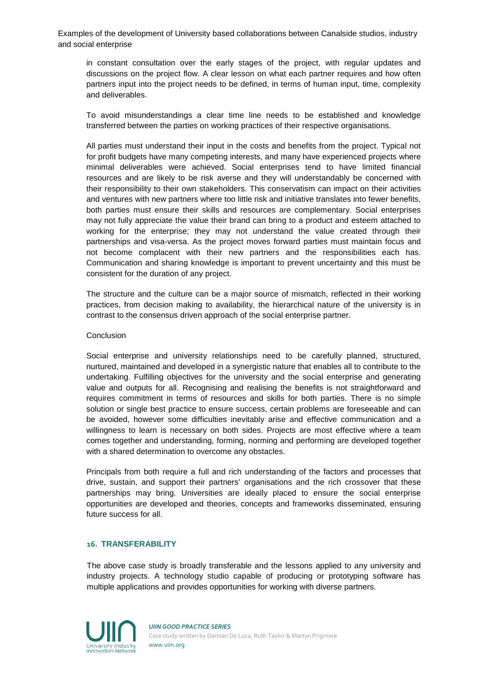in constant consultation over the early stages of the project, with regular updates and discussions on the project flow. A clear lesson on what each partner requires and how often partners input into the project needs to be defined, in terms of human input, time, complexity and deliverables.

To avoid misunderstandings a clear time line needs to be established and knowledge transferred between the parties on working practices of their respective organisations.

All parties must understand their input in the costs and benefits from the project. Typical not for profit budgets have many competing interests, and many have experienced projects where minimal deliverables were achieved. Social enterprises tend to have limited financial resources and are likely to be risk averse and they will understandably be concerned with their responsibility to their own stakeholders. This conservatism can impact on their activities and ventures with new partners where too little risk and initiative translates into fewer benefits, both parties must ensure their skills and resources are complementary. Social enterprises may not fully appreciate the value their brand can bring to a product and esteem attached to working for the enterprise; they may not understand the value created through their partnerships and visa-versa. As the project moves forward parties must maintain focus and not become complacent with their new partners and the responsibilities each has. Communication and sharing knowledge is important to prevent uncertainty and this must be consistent for the duration of any project.

The structure and the culture can be a major source of mismatch, reflected in their working practices, from decision making to availability, the hierarchical nature of the university is in contrast to the consensus driven approach of the social enterprise partner.

#### Conclusion

Social enterprise and university relationships need to be carefully planned, structured, nurtured, maintained and developed in a synergistic nature that enables all to contribute to the undertaking. Fulfilling objectives for the university and the social enterprise and generating value and outputs for all. Recognising and realising the benefits is not straightforward and requires commitment in terms of resources and skills for both parties. There is no simple solution or single best practice to ensure success, certain problems are foreseeable and can be avoided, however some difficulties inevitably arise and effective communication and a willingness to learn is necessary on both sides. Projects are most effective where a team comes together and understanding, forming, norming and performing are developed together with a shared determination to overcome any obstacles.

Principals from both require a full and rich understanding of the factors and processes that drive, sustain, and support their partners' organisations and the rich crossover that these partnerships may bring. Universities are ideally placed to ensure the social enterprise opportunities are developed and theories, concepts and frameworks disseminated, ensuring future success for all.

#### **16. TRANSFERABILITY**

The above case study is broadly transferable and the lessons applied to any university and industry projects. A technology studio capable of producing or prototyping software has multiple applications and provides opportunities for working with diverse partners.

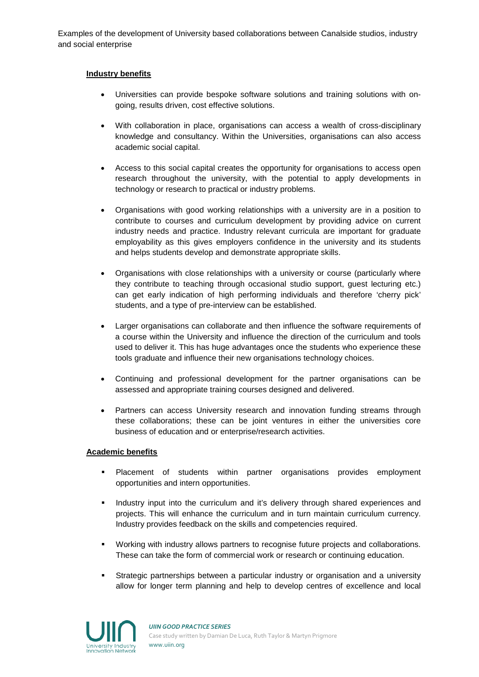#### **Industry benefits**

- Universities can provide bespoke software solutions and training solutions with ongoing, results driven, cost effective solutions.
- With collaboration in place, organisations can access a wealth of cross-disciplinary knowledge and consultancy. Within the Universities, organisations can also access academic social capital.
- Access to this social capital creates the opportunity for organisations to access open research throughout the university, with the potential to apply developments in technology or research to practical or industry problems.
- Organisations with good working relationships with a university are in a position to contribute to courses and curriculum development by providing advice on current industry needs and practice. Industry relevant curricula are important for graduate employability as this gives employers confidence in the university and its students and helps students develop and demonstrate appropriate skills.
- Organisations with close relationships with a university or course (particularly where they contribute to teaching through occasional studio support, guest lecturing etc.) can get early indication of high performing individuals and therefore 'cherry pick' students, and a type of pre-interview can be established.
- Larger organisations can collaborate and then influence the software requirements of a course within the University and influence the direction of the curriculum and tools used to deliver it. This has huge advantages once the students who experience these tools graduate and influence their new organisations technology choices.
- Continuing and professional development for the partner organisations can be assessed and appropriate training courses designed and delivered.
- Partners can access University research and innovation funding streams through these collaborations; these can be joint ventures in either the universities core business of education and or enterprise/research activities.

#### **Academic benefits**

- Placement of students within partner organisations provides employment opportunities and intern opportunities.
- Industry input into the curriculum and it's delivery through shared experiences and projects. This will enhance the curriculum and in turn maintain curriculum currency. Industry provides feedback on the skills and competencies required.
- Working with industry allows partners to recognise future projects and collaborations. These can take the form of commercial work or research or continuing education.
- Strategic partnerships between a particular industry or organisation and a university allow for longer term planning and help to develop centres of excellence and local

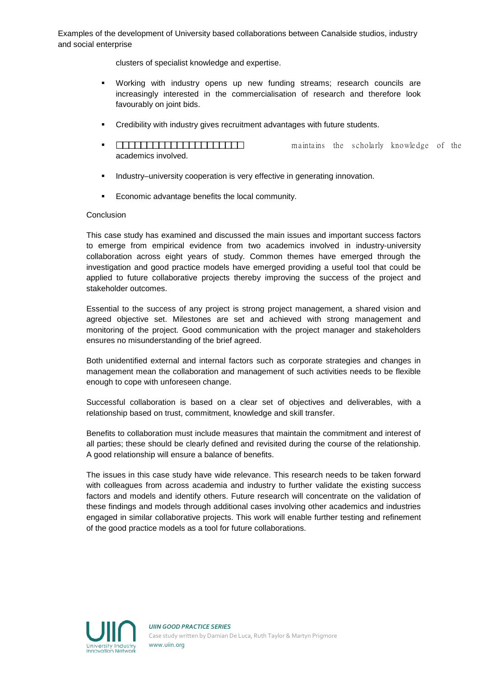clusters of specialist knowledge and expertise.

- Working with industry opens up new funding streams; research councils are increasingly interested in the commercialisation of research and therefore look favourably on joint bids.
- Credibility with industry gives recruitment advantages with future students.
- **THEFTILITILITILITIC** maintains the scholarly knowledge of the academics involved.
- Industry–university cooperation is very effective in generating innovation.
- Economic advantage benefits the local community.

#### Conclusion

This case study has examined and discussed the main issues and important success factors to emerge from empirical evidence from two academics involved in industry-university collaboration across eight years of study. Common themes have emerged through the investigation and good practice models have emerged providing a useful tool that could be applied to future collaborative projects thereby improving the success of the project and stakeholder outcomes.

Essential to the success of any project is strong project management, a shared vision and agreed objective set. Milestones are set and achieved with strong management and monitoring of the project. Good communication with the project manager and stakeholders ensures no misunderstanding of the brief agreed.

Both unidentified external and internal factors such as corporate strategies and changes in management mean the collaboration and management of such activities needs to be flexible enough to cope with unforeseen change.

Successful collaboration is based on a clear set of objectives and deliverables, with a relationship based on trust, commitment, knowledge and skill transfer.

Benefits to collaboration must include measures that maintain the commitment and interest of all parties; these should be clearly defined and revisited during the course of the relationship. A good relationship will ensure a balance of benefits.

The issues in this case study have wide relevance. This research needs to be taken forward with colleagues from across academia and industry to further validate the existing success factors and models and identify others. Future research will concentrate on the validation of these findings and models through additional cases involving other academics and industries engaged in similar collaborative projects. This work will enable further testing and refinement of the good practice models as a tool for future collaborations.

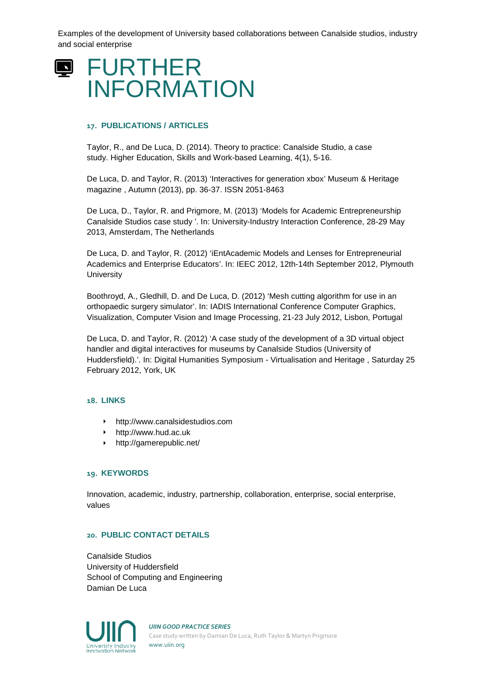

#### **17. PUBLICATIONS / ARTICLES**

Taylor, R., and De Luca, D. (2014). Theory to practice: Canalside Studio, a case study. Higher Education, Skills and Work-based Learning, 4(1), 5-16.

De Luca, D. and Taylor, R. (2013) ['Interactives for generation xbox'](http://eprints.hud.ac.uk/19577) Museum & Heritage magazine , Autumn (2013), pp. 36-37. ISSN 2051-8463

De Luca, D., Taylor, R. and Prigmore, M. (2013) ['Models for Academic Entrepreneurship](http://eprints.hud.ac.uk/19579)  [Canalside Studios case study](http://eprints.hud.ac.uk/19579) '. In: University-Industry Interaction Conference, 28-29 May 2013, Amsterdam, The Netherlands

De Luca, D. and Taylor, R. (2012) ['iEntAcademic Models and Lenses for Entrepreneurial](http://eprints.hud.ac.uk/15923)  [Academics and Enterprise Educators'.](http://eprints.hud.ac.uk/15923) In: IEEC 2012, 12th-14th September 2012, Plymouth **University** 

Boothroyd, A., Gledhill, D. and De Luca, D. (2012) ['Mesh cutting algorithm for use in an](http://eprints.hud.ac.uk/14257)  [orthopaedic surgery simulator'.](http://eprints.hud.ac.uk/14257) In: IADIS International Conference Computer Graphics, Visualization, Computer Vision and Image Processing, 21-23 July 2012, Lisbon, Portugal

De Luca, D. and Taylor, R. (2012) ['A case study of the development of a 3D virtual object](http://eprints.hud.ac.uk/12859)  [handler and digital interactives for museums by Canalside Studios \(University of](http://eprints.hud.ac.uk/12859)  [Huddersfield\).'.](http://eprints.hud.ac.uk/12859) In: Digital Humanities Symposium - Virtualisation and Heritage , Saturday 25 February 2012, York, UK

#### **18. LINKS**

- http://www.canalsidestudios.com
- http://www.hud.ac.uk
- http://gamerepublic.net/

#### **19. KEYWORDS**

Innovation, academic, industry, partnership, collaboration, enterprise, social enterprise, values

#### **20. PUBLIC CONTACT DETAILS**

Canalside Studios University of Huddersfield School of Computing and Engineering Damian De Luca



*UIIN GOOD PRACTICE SERIES* Case study written by Damian De Luca, Ruth Taylor & Martyn Prigmore www.uiin.org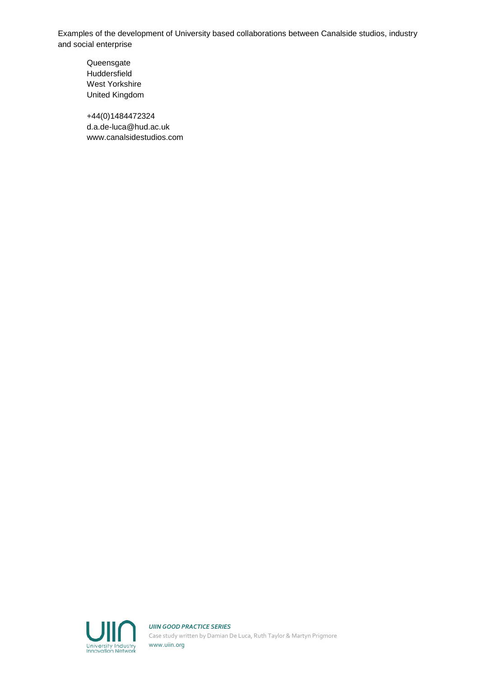**Queensgate** Huddersfield West Yorkshire United Kingdom

+44(0)1484472324 d.a.de-luca@hud.ac.uk www.canalsidestudios.com



*UIIN GOOD PRACTICE SERIES* Case study written by Damian De Luca, Ruth Taylor & Martyn Prigmore www.uiin.org